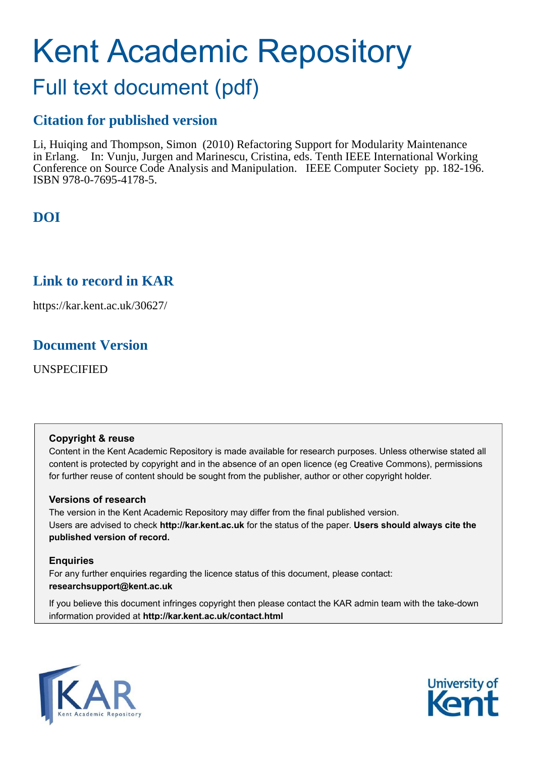# Kent Academic Repository

## Full text document (pdf)

## **Citation for published version**

Li, Huiqing and Thompson, Simon (2010) Refactoring Support for Modularity Maintenance in Erlang. In: Vunju, Jurgen and Marinescu, Cristina, eds. Tenth IEEE International Working Conference on Source Code Analysis and Manipulation. IEEE Computer Society pp. 182-196. ISBN 978-0-7695-4178-5.

## **DOI**

## **Link to record in KAR**

https://kar.kent.ac.uk/30627/

### **Document Version**

UNSPECIFIED

#### **Copyright & reuse**

Content in the Kent Academic Repository is made available for research purposes. Unless otherwise stated all content is protected by copyright and in the absence of an open licence (eg Creative Commons), permissions for further reuse of content should be sought from the publisher, author or other copyright holder.

#### **Versions of research**

The version in the Kent Academic Repository may differ from the final published version. Users are advised to check **http://kar.kent.ac.uk** for the status of the paper. **Users should always cite the published version of record.**

#### **Enquiries**

For any further enquiries regarding the licence status of this document, please contact: **researchsupport@kent.ac.uk**

If you believe this document infringes copyright then please contact the KAR admin team with the take-down information provided at **http://kar.kent.ac.uk/contact.html**



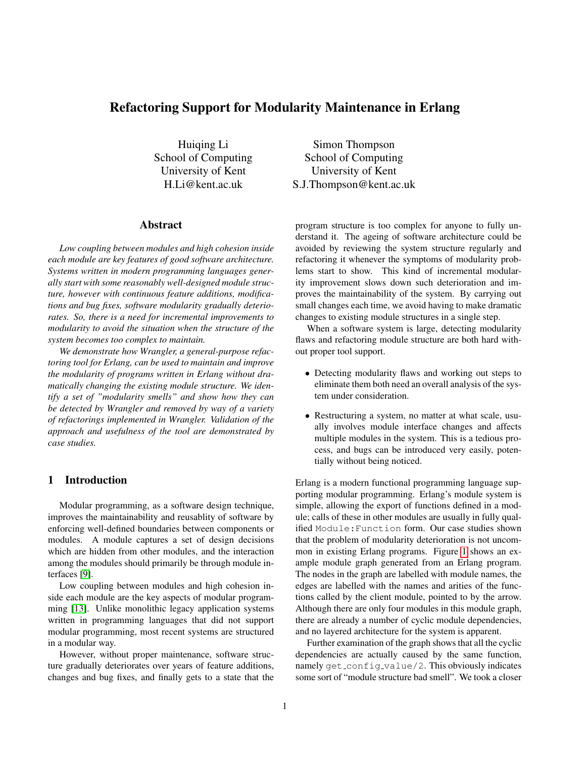#### Refactoring Support for Modularity Maintenance in Erlang

Huiqing Li School of Computing University of Kent H.Li@kent.ac.uk

#### Abstract

*Low coupling between modules and high cohesion inside each module are key features of good software architecture. Systems written in modern programming languages generally start with some reasonably well-designed module structure, however with continuous feature additions, modifications and bug fixes, software modularity gradually deteriorates. So, there is a need for incremental improvements to modularity to avoid the situation when the structure of the system becomes too complex to maintain.*

<span id="page-1-0"></span>*We demonstrate how Wrangler, a general-purpose refactoring tool for Erlang, can be used to maintain and improve the modularity of programs written in Erlang without dramatically changing the existing module structure. We identify a set of "modularity smells" and show how they can be detected by Wrangler and removed by way of a variety of refactorings implemented in Wrangler. Validation of the approach and usefulness of the tool are demonstrated by case studies.*

#### 1 Introduction

Modular programming, as a software design technique, improves the maintainability and reusablity of software by enforcing well-defined boundaries between components or modules. A module captures a set of design decisions which are hidden from other modules, and the interaction among the modules should primarily be through module interfaces [\[9\]](#page-9-0).

<span id="page-1-1"></span>Low coupling between modules and high cohesion inside each module are the key aspects of modular programming [\[13\]](#page-9-1). Unlike monolithic legacy application systems written in programming languages that did not support modular programming, most recent systems are structured in a modular way.

However, without proper maintenance, software structure gradually deteriorates over years of feature additions, changes and bug fixes, and finally gets to a state that the

Simon Thompson School of Computing University of Kent S.J.Thompson@kent.ac.uk

program structure is too complex for anyone to fully understand it. The ageing of software architecture could be avoided by reviewing the system structure regularly and refactoring it whenever the symptoms of modularity problems start to show. This kind of incremental modularity improvement slows down such deterioration and improves the maintainability of the system. By carrying out small changes each time, we avoid having to make dramatic changes to existing module structures in a single step.

When a software system is large, detecting modularity flaws and refactoring module structure are both hard without proper tool support.

- Detecting modularity flaws and working out steps to eliminate them both need an overall analysis of the system under consideration.
- <span id="page-1-2"></span>• Restructuring a system, no matter at what scale, usually involves module interface changes and affects multiple modules in the system. This is a tedious process, and bugs can be introduced very easily, potentially without being noticed.

Erlang is a modern functional programming language supporting modular programming. Erlang's module system is simple, allowing the export of functions defined in a module; calls of these in other modules are usually in fully qualified Module:Function form. Our case studies shown that the problem of modularity deterioration is not uncommon in existing Erlang programs. Figure [1](#page-1-0) shows an example module graph generated from an Erlang program. The nodes in the graph are labelled with module names, the edges are labelled with the names and arities of the functions called by the client module, pointed to by the arrow. Although there are only four modules in this module graph, there are already a number of cyclic module dependencies, and no layered architecture for the system is apparent.

Further examination of the graph shows that all the cyclic dependencies are actually caused by the same function, namely get\_config\_value/2. This obviously indicates some sort of "module structure bad smell". We took a closer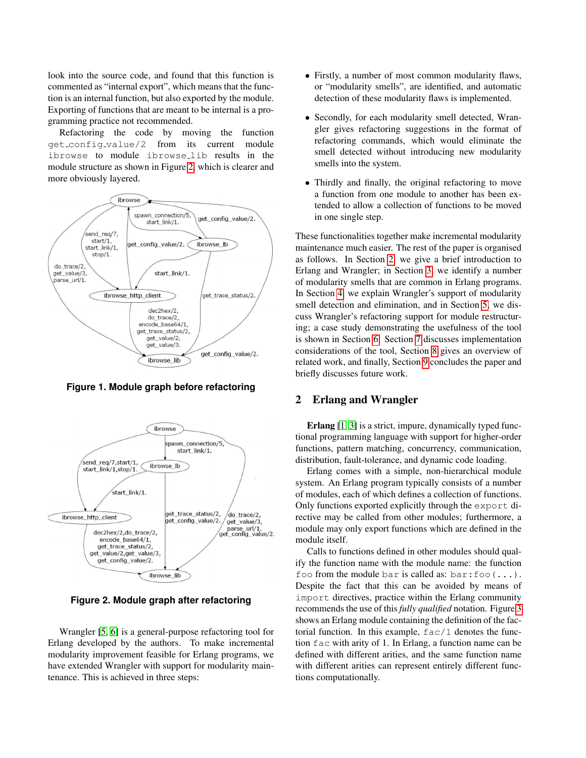look into the source code, and found that this function is commented as "internal export", which means that the function is an internal function, but also exported by the module. Exporting of functions that are meant to be internal is a programming practice not recommended.

<span id="page-2-1"></span>Refactoring the code by moving the function get config value/2 from its current module ibrowse to module ibrowse lib results in the module structure as shown in Figure [2,](#page-1-1) which is clearer and more obviously layered.



<span id="page-2-0"></span>**Figure 1. Module graph before refactoring**



**Figure 2. Module graph after refactoring**

Wrangler [\[5,](#page-9-2) [6\]](#page-9-3) is a general-purpose refactoring tool for Erlang developed by the authors. To make incremental modularity improvement feasible for Erlang programs, we have extended Wrangler with support for modularity maintenance. This is achieved in three steps:

- Firstly, a number of most common modularity flaws, or "modularity smells", are identified, and automatic detection of these modularity flaws is implemented.
- Secondly, for each modularity smell detected, Wrangler gives refactoring suggestions in the format of refactoring commands, which would eliminate the smell detected without introducing new modularity smells into the system.
- Thirdly and finally, the original refactoring to move a function from one module to another has been extended to allow a collection of functions to be moved in one single step.

These functionalities together make incremental modularity maintenance much easier. The rest of the paper is organised as follows. In Section [2,](#page-1-2) we give a brief introduction to Erlang and Wrangler; in Section [3,](#page-2-0) we identify a number of modularity smells that are common in Erlang programs. In Section [4,](#page-3-0) we explain Wrangler's support of modularity smell detection and elimination, and in Section [5,](#page-5-0) we discuss Wrangler's refactoring support for module restructuring; a case study demonstrating the usefulness of the tool is shown in Section [6.](#page-6-0) Section [7](#page-8-0) discusses implementation considerations of the tool, Section [8](#page-8-1) gives an overview of related work, and finally, Section [9](#page-9-4) concludes the paper and briefly discusses future work.

#### 2 Erlang and Wrangler

Erlang [\[1,](#page-9-5) [3\]](#page-9-6) is a strict, impure, dynamically typed functional programming language with support for higher-order functions, pattern matching, concurrency, communication, distribution, fault-tolerance, and dynamic code loading.

Erlang comes with a simple, non-hierarchical module system. An Erlang program typically consists of a number of modules, each of which defines a collection of functions. Only functions exported explicitly through the export directive may be called from other modules; furthermore, a module may only export functions which are defined in the module itself.

<span id="page-2-2"></span>Calls to functions defined in other modules should qualify the function name with the module name: the function foo from the module bar is called as:  $bar:$  foo $(...).$ Despite the fact that this can be avoided by means of import directives, practice within the Erlang community recommends the use of this*fully qualified* notation. Figure [3](#page-2-1) shows an Erlang module containing the definition of the factorial function. In this example,  $fac/1$  denotes the function fac with arity of 1. In Erlang, a function name can be defined with different arities, and the same function name with different arities can represent entirely different functions computationally.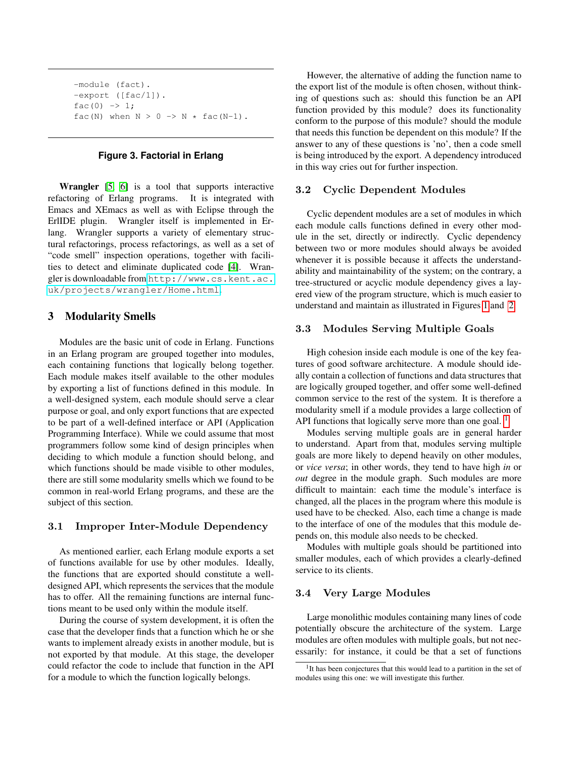-module (fact). -export ([fac/1]).  $fac(0) \rightarrow 1;$ fac(N) when  $N > 0 \rightarrow N *$  fac(N-1).

#### **Figure 3. Factorial in Erlang**

<span id="page-3-0"></span>Wrangler [\[5,](#page-9-2) [6\]](#page-9-3) is a tool that supports interactive refactoring of Erlang programs. It is integrated with Emacs and XEmacs as well as with Eclipse through the ErlIDE plugin. Wrangler itself is implemented in Erlang. Wrangler supports a variety of elementary structural refactorings, process refactorings, as well as a set of "code smell" inspection operations, together with facilities to detect and eliminate duplicated code [\[4\]](#page-9-7). Wrangler is downloadable from [http://www.cs.kent.ac.](http://www.cs.kent.ac.uk/projects/wrangler/Home.html) [uk/projects/wrangler/Home.html](http://www.cs.kent.ac.uk/projects/wrangler/Home.html).

#### 3 Modularity Smells

Modules are the basic unit of code in Erlang. Functions in an Erlang program are grouped together into modules, each containing functions that logically belong together. Each module makes itself available to the other modules by exporting a list of functions defined in this module. In a well-designed system, each module should serve a clear purpose or goal, and only export functions that are expected to be part of a well-defined interface or API (Application Programming Interface). While we could assume that most programmers follow some kind of design principles when deciding to which module a function should belong, and which functions should be made visible to other modules, there are still some modularity smells which we found to be common in real-world Erlang programs, and these are the subject of this section.

#### <span id="page-3-1"></span>3.1 Improper Inter-Module Dependency

As mentioned earlier, each Erlang module exports a set of functions available for use by other modules. Ideally, the functions that are exported should constitute a welldesigned API, which represents the services that the module has to offer. All the remaining functions are internal functions meant to be used only within the module itself.

During the course of system development, it is often the case that the developer finds that a function which he or she wants to implement already exists in another module, but is not exported by that module. At this stage, the developer could refactor the code to include that function in the API for a module to which the function logically belongs.

However, the alternative of adding the function name to the export list of the module is often chosen, without thinking of questions such as: should this function be an API function provided by this module? does its functionality conform to the purpose of this module? should the module that needs this function be dependent on this module? If the answer to any of these questions is 'no', then a code smell is being introduced by the export. A dependency introduced in this way cries out for further inspection.

#### 3.2 Cyclic Dependent Modules

Cyclic dependent modules are a set of modules in which each module calls functions defined in every other module in the set, directly or indirectly. Cyclic dependency between two or more modules should always be avoided whenever it is possible because it affects the understandability and maintainability of the system; on the contrary, a tree-structured or acyclic module dependency gives a layered view of the program structure, which is much easier to understand and maintain as illustrated in Figures [1](#page-1-0) and [2.](#page-1-1)

#### 3.3 Modules Serving Multiple Goals

High cohesion inside each module is one of the key features of good software architecture. A module should ideally contain a collection of functions and data structures that are logically grouped together, and offer some well-defined common service to the rest of the system. It is therefore a modularity smell if a module provides a large collection of API functions that logically serve more than one goal.  $<sup>1</sup>$  $<sup>1</sup>$  $<sup>1</sup>$ </sup>

Modules serving multiple goals are in general harder to understand. Apart from that, modules serving multiple goals are more likely to depend heavily on other modules, or *vice versa*; in other words, they tend to have high *in* or *out* degree in the module graph. Such modules are more difficult to maintain: each time the module's interface is changed, all the places in the program where this module is used have to be checked. Also, each time a change is made to the interface of one of the modules that this module depends on, this module also needs to be checked.

Modules with multiple goals should be partitioned into smaller modules, each of which provides a clearly-defined service to its clients.

#### 3.4 Very Large Modules

Large monolithic modules containing many lines of code potentially obscure the architecture of the system. Large modules are often modules with multiple goals, but not necessarily: for instance, it could be that a set of functions

<sup>&</sup>lt;sup>1</sup>It has been conjectures that this would lead to a partition in the set of modules using this one: we will investigate this further.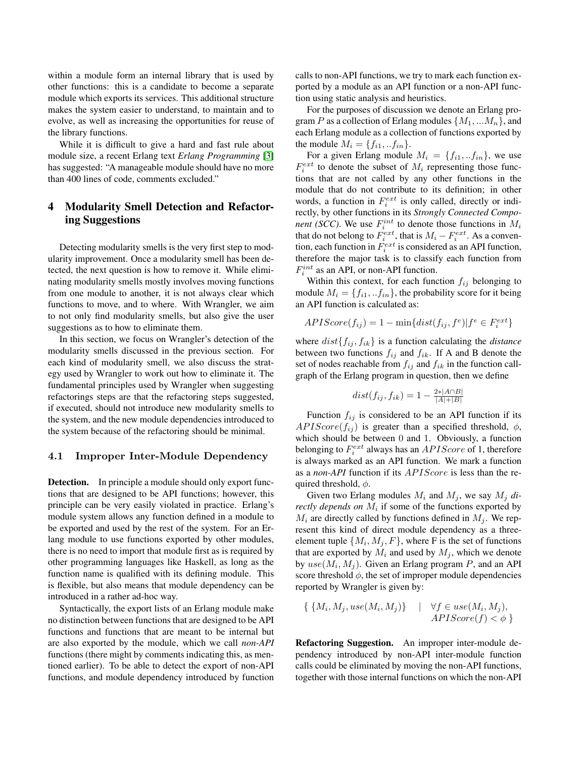within a module form an internal library that is used by other functions: this is a candidate to become a separate module which exports its services. This additional structure makes the system easier to understand, to maintain and to evolve, as well as increasing the opportunities for reuse of the library functions.

While it is difficult to give a hard and fast rule about module size, a recent Erlang text *Erlang Programming* [\[3\]](#page-9-6) has suggested: "A manageable module should have no more than 400 lines of code, comments excluded."

#### 4 Modularity Smell Detection and Refactoring Suggestions

Detecting modularity smells is the very first step to modularity improvement. Once a modularity smell has been detected, the next question is how to remove it. While eliminating modularity smells mostly involves moving functions from one module to another, it is not always clear which functions to move, and to where. With Wrangler, we aim to not only find modularity smells, but also give the user suggestions as to how to eliminate them.

In this section, we focus on Wrangler's detection of the modularity smells discussed in the previous section. For each kind of modularity smell, we also discuss the strategy used by Wrangler to work out how to eliminate it. The fundamental principles used by Wrangler when suggesting refactorings steps are that the refactoring steps suggested, if executed, should not introduce new modularity smells to the system, and the new module dependencies introduced to the system because of the refactoring should be minimal.

#### 4.1 Improper Inter-Module Dependency

**Detection.** In principle a module should only export functions that are designed to be API functions; however, this principle can be very easily violated in practice. Erlang's module system allows any function defined in a module to be exported and used by the rest of the system. For an Erlang module to use functions exported by other modules, there is no need to import that module first as is required by other programming languages like Haskell, as long as the function name is qualified with its defining module. This is flexible, but also means that module dependency can be introduced in a rather ad-hoc way.

Syntactically, the export lists of an Erlang module make no distinction between functions that are designed to be API functions and functions that are meant to be internal but are also exported by the module, which we call *non-API* functions (there might by comments indicating this, as mentioned earlier). To be able to detect the export of non-API functions, and module dependency introduced by function calls to non-API functions, we try to mark each function exported by a module as an API function or a non-API function using static analysis and heuristics.

For the purposes of discussion we denote an Erlang program P as a collection of Erlang modules  $\{M_1, \ldots, M_n\}$ , and each Erlang module as a collection of functions exported by the module  $M_i = \{f_{i1}, . . f_{in}\}.$ 

For a given Erlang module  $M_i = \{f_{i1}, . . f_{in}\}\)$ , we use  $F_i^{ext}$  to denote the subset of  $M_i$  representing those functions that are not called by any other functions in the module that do not contribute to its definition; in other words, a function in  $F_i^{ext}$  is only called, directly or indirectly, by other functions in its *Strongly Connected Component (SCC)*. We use  $F_i^{int}$  to denote those functions in  $M_i$ that do not belong to  $F_i^{ext}$ , that is  $M_i - F_i^{ext}$ . As a convention, each function in  $F_i^{ext}$  is considered as an API function, therefore the major task is to classify each function from  $F_i^{int}$  as an API, or non-API function.

Within this context, for each function  $f_{ij}$  belonging to module  $M_i = \{f_{i1}, . . f_{in}\}\$ , the probability score for it being an API function is calculated as:

$$
APIScore(f_{ij}) = 1 - \min\{dist(f_{ij}, f^e) | f^e \in F_i^{ext}\}\
$$

where  $dist{f_{ij}, f_{ik}}$  is a function calculating the *distance* between two functions  $f_{ij}$  and  $f_{ik}$ . If A and B denote the set of nodes reachable from  $f_{ij}$  and  $f_{ik}$  in the function callgraph of the Erlang program in question, then we define

$$
dist(f_{ij}, f_{ik}) = 1 - \frac{2 * |A \cap B|}{|A| + |B|}
$$

Function  $f_{ij}$  is considered to be an API function if its  $APIScore(f_{ij})$  is greater than a specified threshold,  $\phi$ , which should be between 0 and 1. Obviously, a function belonging to  $F_i^{ext}$  always has an  $APIScore$  of 1, therefore is always marked as an API function. We mark a function as a *non-API* function if its *APIScore* is less than the required threshold,  $\phi$ .

<span id="page-4-1"></span>Given two Erlang modules  $M_i$  and  $M_j$ , we say  $M_j$  *directly depends on*  $M_i$  if some of the functions exported by  $M_i$  are directly called by functions defined in  $M_i$ . We represent this kind of direct module dependency as a threeelement tuple  $\{M_i, M_j, F\}$ , where F is the set of functions that are exported by  $M_i$  and used by  $M_j$ , which we denote by  $use(M_i, M_j)$ . Given an Erlang program P, and an API score threshold  $\phi$ , the set of improper module dependencies reported by Wrangler is given by:

$$
\{ \{M_i, M_j, use(M_i, M_j) \} \quad | \quad \forall f \in use(M_i, M_j),
$$
  
 
$$
APIScore(f) < \phi \}
$$

<span id="page-4-0"></span>Refactoring Suggestion. An improper inter-module dependency introduced by non-API inter-module function calls could be eliminated by moving the non-API functions, together with those internal functions on which the non-API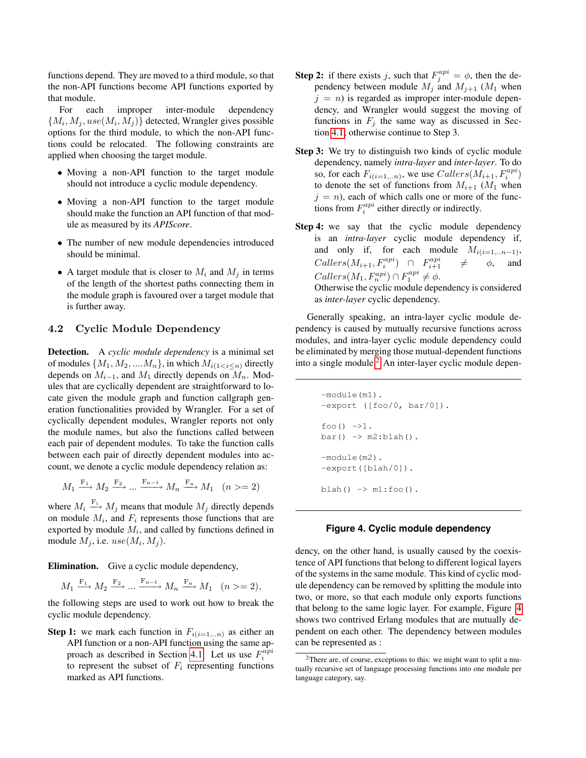functions depend. They are moved to a third module, so that the non-API functions become API functions exported by that module.

For each improper inter-module dependency  $\{M_i, M_j, use(M_i, M_j)\}\$ detected, Wrangler gives possible options for the third module, to which the non-API functions could be relocated. The following constraints are applied when choosing the target module.

- Moving a non-API function to the target module should not introduce a cyclic module dependency.
- <span id="page-5-1"></span>• Moving a non-API function to the target module should make the function an API function of that module as measured by its *APIScore*.
- The number of new module dependencies introduced should be minimal.
- A target module that is closer to  $M_i$  and  $M_j$  in terms of the length of the shortest paths connecting them in the module graph is favoured over a target module that is further away.

#### 4.2 Cyclic Module Dependency

Detection. A *cyclic module dependency* is a minimal set of modules  $\{M_1, M_2, \ldots, M_n\}$ , in which  $M_{i(1 \lt i \lt n)}$  directly depends on  $M_{i-1}$ , and  $M_1$  directly depends on  $M_n$ . Modules that are cyclically dependent are straightforward to locate given the module graph and function callgraph generation functionalities provided by Wrangler. For a set of cyclically dependent modules, Wrangler reports not only the module names, but also the functions called between each pair of dependent modules. To take the function calls between each pair of directly dependent modules into account, we denote a cyclic module dependency relation as:

$$
M_1 \xrightarrow{\mathrm{F}_1} M_2 \xrightarrow{\mathrm{F}_2} \dots \xrightarrow{\mathrm{F}_{n-1}} M_n \xrightarrow{\mathrm{F}_n} M_1 \quad (n >= 2)
$$

where  $M_i \stackrel{\mathrm{F_i}}{\longrightarrow} M_j$  means that module  $M_j$  directly depends on module  $M_i$ , and  $F_i$  represents those functions that are exported by module  $M_i$ , and called by functions defined in module  $M_j$ , i.e.  $use(M_i, M_j)$ .

Elimination. Give a cyclic module dependency,

$$
M_1 \xrightarrow{F_1} M_2 \xrightarrow{F_2} \dots \xrightarrow{F_{n-1}} M_n \xrightarrow{F_n} M_1 \quad (n >= 2),
$$

the following steps are used to work out how to break the cyclic module dependency.

**Step 1:** we mark each function in  $F_{i(i=1...n)}$  as either an API function or a non-API function using the same ap-proach as described in Section [4.1.](#page-3-1) Let us use  $F_i^{\alpha p i}$ to represent the subset of  $F_i$  representing functions marked as API functions.

- **Step 2:** if there exists j, such that  $F_j^{api} = \phi$ , then the dependency between module  $M_j$  and  $M_{j+1}$  ( $M_1$  when  $j = n$ ) is regarded as improper inter-module dependency, and Wrangler would suggest the moving of functions in  $F_i$  the same way as discussed in Section [4.1;](#page-3-1) otherwise continue to Step 3.
- Step 3: We try to distinguish two kinds of cyclic module dependency, namely *intra-layer* and *inter-layer*. To do so, for each  $F_{i(i=1...n)}$ , we use  $Callers(M_{i+1}, F_i^{api})$ to denote the set of functions from  $M_{i+1}$  ( $M_1$  when  $j = n$ , each of which calls one or more of the functions from  $F_i^{api}$  either directly or indirectly.
- Step 4: we say that the cyclic module dependency is an *intra-layer* cyclic module dependency if, and only if, for each module  $M_{i(i=1...n-1)}$ ,  $Callers(M_{i+1}, F_i^{api}) \cap F_{i+1}^{api} \neq \phi$ , and  $Callers(M_1, F_n^{api}) \cap F_1^{api} \neq \phi.$ Otherwise the cyclic module dependency is considered as *inter-layer* cyclic dependency.

Generally speaking, an intra-layer cyclic module dependency is caused by mutually recursive functions across modules, and intra-layer cyclic module dependency could be eliminated by merging those mutual-dependent functions into a single module. $<sup>2</sup>$  $<sup>2</sup>$  $<sup>2</sup>$  An inter-layer cyclic module depen-</sup>

```
-module(m1).
-export ([foo/0, bar/0]).
foo() ->1.
bar() \rightarrow m2:blah().
-module(m2).
-export([blah/0]).
blah() \rightarrow ml:foo().
```
#### **Figure 4. Cyclic module dependency**

dency, on the other hand, is usually caused by the coexistence of API functions that belong to different logical layers of the systems in the same module. This kind of cyclic module dependency can be removed by splitting the module into two, or more, so that each module only exports functions that belong to the same logic layer. For example, Figure [4](#page-4-1) shows two contrived Erlang modules that are mutually dependent on each other. The dependency between modules can be represented as :

<span id="page-5-0"></span><sup>&</sup>lt;sup>2</sup>There are, of course, exceptions to this: we might want to split a mutually recursive set of language processing functions into one module per language category, say.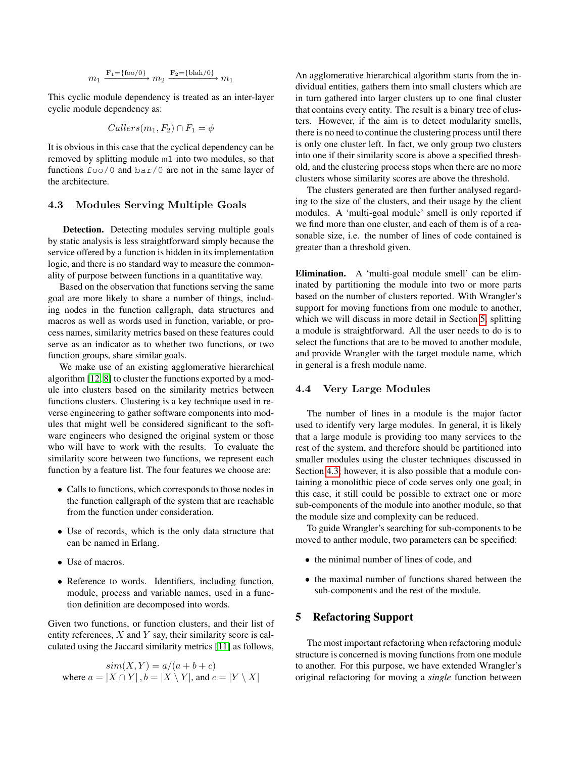$$
m_1 \xrightarrow{\mathrm{F}_1 = \{\mathrm{foo}/0\}} m_2 \xrightarrow{\mathrm{F}_2 = \{\mathrm{blah}/0\}} m_1
$$

This cyclic module dependency is treated as an inter-layer cyclic module dependency as:

$$
Callers(m_1, F_2) \cap F_1 = \phi
$$

It is obvious in this case that the cyclical dependency can be removed by splitting module m1 into two modules, so that functions foo/0 and bar/0 are not in the same layer of the architecture.

#### 4.3 Modules Serving Multiple Goals

Detection. Detecting modules serving multiple goals by static analysis is less straightforward simply because the service offered by a function is hidden in its implementation logic, and there is no standard way to measure the commonality of purpose between functions in a quantitative way.

Based on the observation that functions serving the same goal are more likely to share a number of things, including nodes in the function callgraph, data structures and macros as well as words used in function, variable, or process names, similarity metrics based on these features could serve as an indicator as to whether two functions, or two function groups, share similar goals.

We make use of an existing agglomerative hierarchical algorithm [\[12,](#page-9-8) [8\]](#page-9-9) to cluster the functions exported by a module into clusters based on the similarity metrics between functions clusters. Clustering is a key technique used in reverse engineering to gather software components into modules that might well be considered significant to the software engineers who designed the original system or those who will have to work with the results. To evaluate the similarity score between two functions, we represent each function by a feature list. The four features we choose are:

- <span id="page-6-0"></span>• Calls to functions, which corresponds to those nodes in the function callgraph of the system that are reachable from the function under consideration.
- Use of records, which is the only data structure that can be named in Erlang.
- Use of macros.
- Reference to words. Identifiers, including function, module, process and variable names, used in a function definition are decomposed into words.

Given two functions, or function clusters, and their list of entity references, X and Y say, their similarity score is calculated using the Jaccard similarity metrics [\[11\]](#page-9-10) as follows,

$$
sim(X, Y) = a/(a+b+c)
$$
  
where  $a = |X \cap Y|$ ,  $b = |X \setminus Y|$ , and  $c = |Y \setminus X|$ 

An agglomerative hierarchical algorithm starts from the individual entities, gathers them into small clusters which are in turn gathered into larger clusters up to one final cluster that contains every entity. The result is a binary tree of clusters. However, if the aim is to detect modularity smells, there is no need to continue the clustering process until there is only one cluster left. In fact, we only group two clusters into one if their similarity score is above a specified threshold, and the clustering process stops when there are no more clusters whose similarity scores are above the threshold.

<span id="page-6-1"></span>The clusters generated are then further analysed regarding to the size of the clusters, and their usage by the client modules. A 'multi-goal module' smell is only reported if we find more than one cluster, and each of them is of a reasonable size, i.e. the number of lines of code contained is greater than a threshold given.

Elimination. A 'multi-goal module smell' can be eliminated by partitioning the module into two or more parts based on the number of clusters reported. With Wrangler's support for moving functions from one module to another, which we will discuss in more detail in Section [5,](#page-5-0) splitting a module is straightforward. All the user needs to do is to select the functions that are to be moved to another module, and provide Wrangler with the target module name, which in general is a fresh module name.

#### 4.4 Very Large Modules

The number of lines in a module is the major factor used to identify very large modules. In general, it is likely that a large module is providing too many services to the rest of the system, and therefore should be partitioned into smaller modules using the cluster techniques discussed in Section [4.3;](#page-5-1) however, it is also possible that a module containing a monolithic piece of code serves only one goal; in this case, it still could be possible to extract one or more sub-components of the module into another module, so that the module size and complexity can be reduced.

To guide Wrangler's searching for sub-components to be moved to anther module, two parameters can be specified:

- the minimal number of lines of code, and
- the maximal number of functions shared between the sub-components and the rest of the module.

#### 5 Refactoring Support

The most important refactoring when refactoring module structure is concerned is moving functions from one module to another. For this purpose, we have extended Wrangler's original refactoring for moving a *single* function between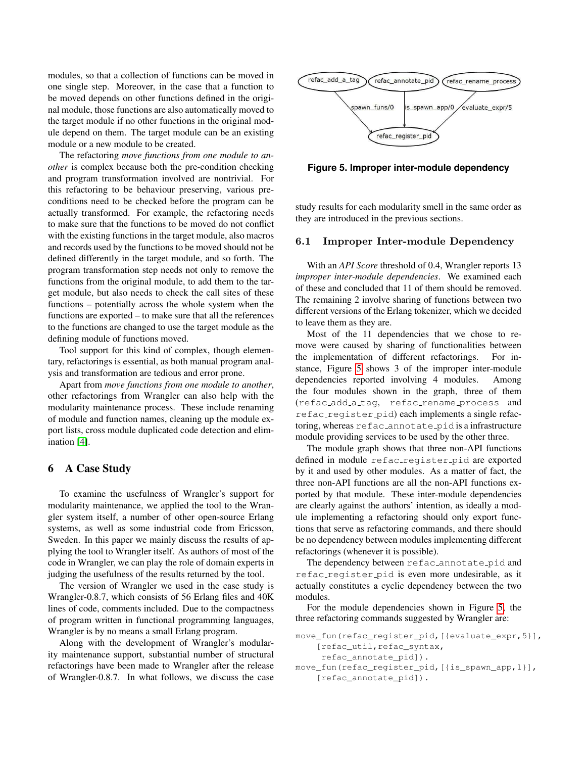modules, so that a collection of functions can be moved in one single step. Moreover, in the case that a function to be moved depends on other functions defined in the original module, those functions are also automatically moved to the target module if no other functions in the original module depend on them. The target module can be an existing module or a new module to be created.

The refactoring *move functions from one module to another* is complex because both the pre-condition checking and program transformation involved are nontrivial. For this refactoring to be behaviour preserving, various preconditions need to be checked before the program can be actually transformed. For example, the refactoring needs to make sure that the functions to be moved do not conflict with the existing functions in the target module, also macros and records used by the functions to be moved should not be defined differently in the target module, and so forth. The program transformation step needs not only to remove the functions from the original module, to add them to the target module, but also needs to check the call sites of these functions – potentially across the whole system when the functions are exported – to make sure that all the references to the functions are changed to use the target module as the defining module of functions moved.

Tool support for this kind of complex, though elementary, refactorings is essential, as both manual program analysis and transformation are tedious and error prone.

Apart from *move functions from one module to another*, other refactorings from Wrangler can also help with the modularity maintenance process. These include renaming of module and function names, cleaning up the module export lists, cross module duplicated code detection and elimination [\[4\]](#page-9-7).

#### 6 A Case Study

To examine the usefulness of Wrangler's support for modularity maintenance, we applied the tool to the Wrangler system itself, a number of other open-source Erlang systems, as well as some industrial code from Ericsson, Sweden. In this paper we mainly discuss the results of applying the tool to Wrangler itself. As authors of most of the code in Wrangler, we can play the role of domain experts in judging the usefulness of the results returned by the tool.

The version of Wrangler we used in the case study is Wrangler-0.8.7, which consists of 56 Erlang files and 40K lines of code, comments included. Due to the compactness of program written in functional programming languages, Wrangler is by no means a small Erlang program.

Along with the development of Wrangler's modularity maintenance support, substantial number of structural refactorings have been made to Wrangler after the release of Wrangler-0.8.7. In what follows, we discuss the case



**Figure 5. Improper inter-module dependency**

study results for each modularity smell in the same order as they are introduced in the previous sections.

#### 6.1 Improper Inter-module Dependency

<span id="page-7-0"></span>With an *API Score* threshold of 0.4, Wrangler reports 13 *improper inter-module dependencies*. We examined each of these and concluded that 11 of them should be removed. The remaining 2 involve sharing of functions between two different versions of the Erlang tokenizer, which we decided to leave them as they are.

Most of the 11 dependencies that we chose to remove were caused by sharing of functionalities between the implementation of different refactorings. For instance, Figure [5](#page-6-1) shows 3 of the improper inter-module dependencies reported involving 4 modules. Among the four modules shown in the graph, three of them (refac add a tag, refac rename process and refac register pid) each implements a single refactoring, whereas refac\_annotate\_pid is a infrastructure module providing services to be used by the other three.

The module graph shows that three non-API functions defined in module refac register pid are exported by it and used by other modules. As a matter of fact, the three non-API functions are all the non-API functions exported by that module. These inter-module dependencies are clearly against the authors' intention, as ideally a module implementing a refactoring should only export functions that serve as refactoring commands, and there should be no dependency between modules implementing different refactorings (whenever it is possible).

The dependency between refac\_annotate\_pid and refac register pid is even more undesirable, as it actually constitutes a cyclic dependency between the two modules.

For the module dependencies shown in Figure [5,](#page-6-1) the three refactoring commands suggested by Wrangler are:

```
move_fun(refac_register_pid,[{evaluate_expr,5}],
    [refac_util, refac_syntax,
     refac_annotate_pid]).
move_fun(refac_register_pid,[{is_spawn_app,1}],
    [refac_annotate_pid]).
```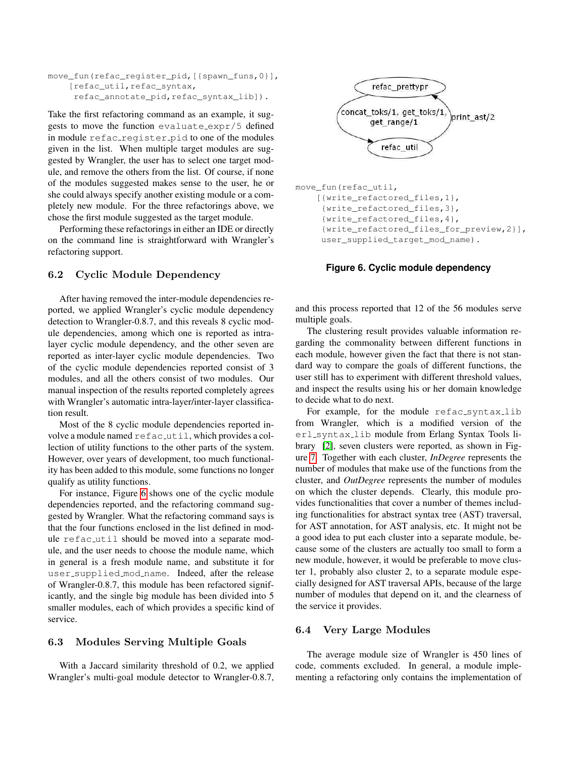```
move fun(refac_register_pid,[{spawn_funs,0}],
    [refac_util,refac_syntax,
     refac_annotate_pid,refac_syntax_lib]).
```
Take the first refactoring command as an example, it suggests to move the function evaluate expr/5 defined in module refac\_register\_pid to one of the modules given in the list. When multiple target modules are suggested by Wrangler, the user has to select one target module, and remove the others from the list. Of course, if none of the modules suggested makes sense to the user, he or she could always specify another existing module or a completely new module. For the three refactorings above, we chose the first module suggested as the target module.

Performing these refactorings in either an IDE or directly on the command line is straightforward with Wrangler's refactoring support.

#### 6.2 Cyclic Module Dependency

After having removed the inter-module dependencies reported, we applied Wrangler's cyclic module dependency detection to Wrangler-0.8.7, and this reveals 8 cyclic module dependencies, among which one is reported as intralayer cyclic module dependency, and the other seven are reported as inter-layer cyclic module dependencies. Two of the cyclic module dependencies reported consist of 3 modules, and all the others consist of two modules. Our manual inspection of the results reported completely agrees with Wrangler's automatic intra-layer/inter-layer classification result.

<span id="page-8-2"></span>Most of the 8 cyclic module dependencies reported involve a module named refac util, which provides a collection of utility functions to the other parts of the system. However, over years of development, too much functionality has been added to this module, some functions no longer qualify as utility functions.

<span id="page-8-0"></span>For instance, Figure [6](#page-7-0) shows one of the cyclic module dependencies reported, and the refactoring command suggested by Wrangler. What the refactoring command says is that the four functions enclosed in the list defined in module refac util should be moved into a separate module, and the user needs to choose the module name, which in general is a fresh module name, and substitute it for user\_supplied\_mod\_name. Indeed, after the release of Wrangler-0.8.7, this module has been refactored significantly, and the single big module has been divided into 5 smaller modules, each of which provides a specific kind of service.

#### 6.3 Modules Serving Multiple Goals

With a Jaccard similarity threshold of 0.2, we applied Wrangler's multi-goal module detector to Wrangler-0.8.7,



```
{write_refactored_files,3},
{write_refactored_files,4},
{write_refactored_files_for_preview,2}],
user_supplied_target_mod_name).
```
#### **Figure 6. Cyclic module dependency**

and this process reported that 12 of the 56 modules serve multiple goals.

The clustering result provides valuable information regarding the commonality between different functions in each module, however given the fact that there is not standard way to compare the goals of different functions, the user still has to experiment with different threshold values, and inspect the results using his or her domain knowledge to decide what to do next.

<span id="page-8-1"></span>For example, for the module refac\_syntax\_lib from Wrangler, which is a modified version of the erl\_syntax\_lib module from Erlang Syntax Tools library [\[2\]](#page-9-11), seven clusters were reported, as shown in Figure [7.](#page-8-2) Together with each cluster, *InDegree* represents the number of modules that make use of the functions from the cluster, and *OutDegree* represents the number of modules on which the cluster depends. Clearly, this module provides functionalities that cover a number of themes including functionalities for abstract syntax tree (AST) traversal, for AST annotation, for AST analysis, etc. It might not be a good idea to put each cluster into a separate module, because some of the clusters are actually too small to form a new module, however, it would be preferable to move cluster 1, probably also cluster 2, to a separate module especially designed for AST traversal APIs, because of the large number of modules that depend on it, and the clearness of the service it provides.

#### 6.4 Very Large Modules

The average module size of Wrangler is 450 lines of code, comments excluded. In general, a module implementing a refactoring only contains the implementation of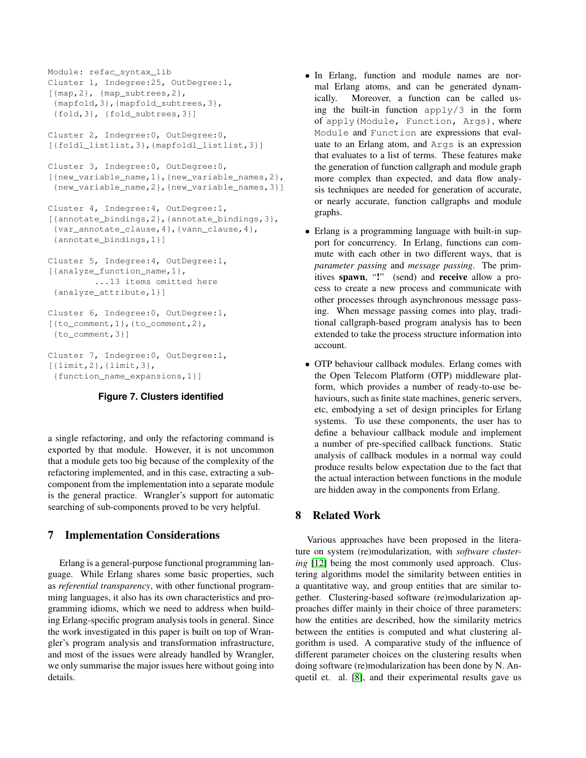```
Module: refac_syntax_lib
Cluster 1, Indegree:25, OutDegree:1,
[{map,2}, {map_subtrees,2},
 {mapfold,3},{mapfold_subtrees,3},
 {fold,3}, {fold_subtrees,3}]
Cluster 2, Indegree:0, OutDegree:0,
[{foldl_listlist,3},{mapfoldl_listlist,3}]
Cluster 3, Indegree:0, OutDegree:0,
[{new_variable_name,1},{new_variable_names,2},
 {new_variable_name,2},{new_variable_names,3}]
Cluster 4, Indegree:4, OutDegree:1,
[{annotate_bindings,2},{annotate_bindings,3},
 {var_annotate_clause,4},{vann_clause,4},
 {annotate_bindings,1}]
Cluster 5, Indegree:4, OutDegree:1,
[{analyze_function_name,1},
         ...13 items omitted here
 {analyze_attribute,1}]
Cluster 6, Indegree:0, OutDegree:1,
[{to\_comment, 1}, {to\_comment, 2},{to_comment,3}]
Cluster 7, Indegree:0, OutDegree:1,
```
#### **Figure 7. Clusters identified**

[{limit,2},{limit,3},

<span id="page-9-4"></span>{function\_name\_expansions,1}]

a single refactoring, and only the refactoring command is exported by that module. However, it is not uncommon that a module gets too big because of the complexity of the refactoring implemented, and in this case, extracting a subcomponent from the implementation into a separate module is the general practice. Wrangler's support for automatic searching of sub-components proved to be very helpful.

#### 7 Implementation Considerations

Erlang is a general-purpose functional programming language. While Erlang shares some basic properties, such as *referential transparency*, with other functional programming languages, it also has its own characteristics and programming idioms, which we need to address when building Erlang-specific program analysis tools in general. Since the work investigated in this paper is built on top of Wrangler's program analysis and transformation infrastructure, and most of the issues were already handled by Wrangler, we only summarise the major issues here without going into details.

- In Erlang, function and module names are normal Erlang atoms, and can be generated dynamically. Moreover, a function can be called using the built-in function apply/3 in the form of apply(Module, Function, Args), where Module and Function are expressions that evaluate to an Erlang atom, and Args is an expression that evaluates to a list of terms. These features make the generation of function callgraph and module graph more complex than expected, and data flow analysis techniques are needed for generation of accurate, or nearly accurate, function callgraphs and module graphs.
- <span id="page-9-11"></span><span id="page-9-5"></span>• Erlang is a programming language with built-in support for concurrency. In Erlang, functions can commute with each other in two different ways, that is *parameter passing* and *message passing*. The primitives spawn, "!" (send) and receive allow a process to create a new process and communicate with other processes through asynchronous message passing. When message passing comes into play, traditional callgraph-based program analysis has to been extended to take the process structure information into account.
- <span id="page-9-12"></span><span id="page-9-7"></span><span id="page-9-6"></span><span id="page-9-3"></span><span id="page-9-2"></span>• OTP behaviour callback modules. Erlang comes with the Open Telecom Platform (OTP) middleware platform, which provides a number of ready-to-use behaviours, such as finite state machines, generic servers, etc, embodying a set of design principles for Erlang systems. To use these components, the user has to define a behaviour callback module and implement a number of pre-specified callback functions. Static analysis of callback modules in a normal way could produce results below expectation due to the fact that the actual interaction between functions in the module are hidden away in the components from Erlang.

#### <span id="page-9-9"></span><span id="page-9-0"></span>8 Related Work

<span id="page-9-13"></span><span id="page-9-10"></span><span id="page-9-8"></span><span id="page-9-1"></span>Various approaches have been proposed in the literature on system (re)modularization, with *software clustering* [\[12\]](#page-9-8) being the most commonly used approach. Clustering algorithms model the similarity between entities in a quantitative way, and group entities that are similar together. Clustering-based software (re)modularization approaches differ mainly in their choice of three parameters: how the entities are described, how the similarity metrics between the entities is computed and what clustering algorithm is used. A comparative study of the influence of different parameter choices on the clustering results when doing software (re)modularization has been done by N. Anquetil et. al. [\[8\]](#page-9-9), and their experimental results gave us